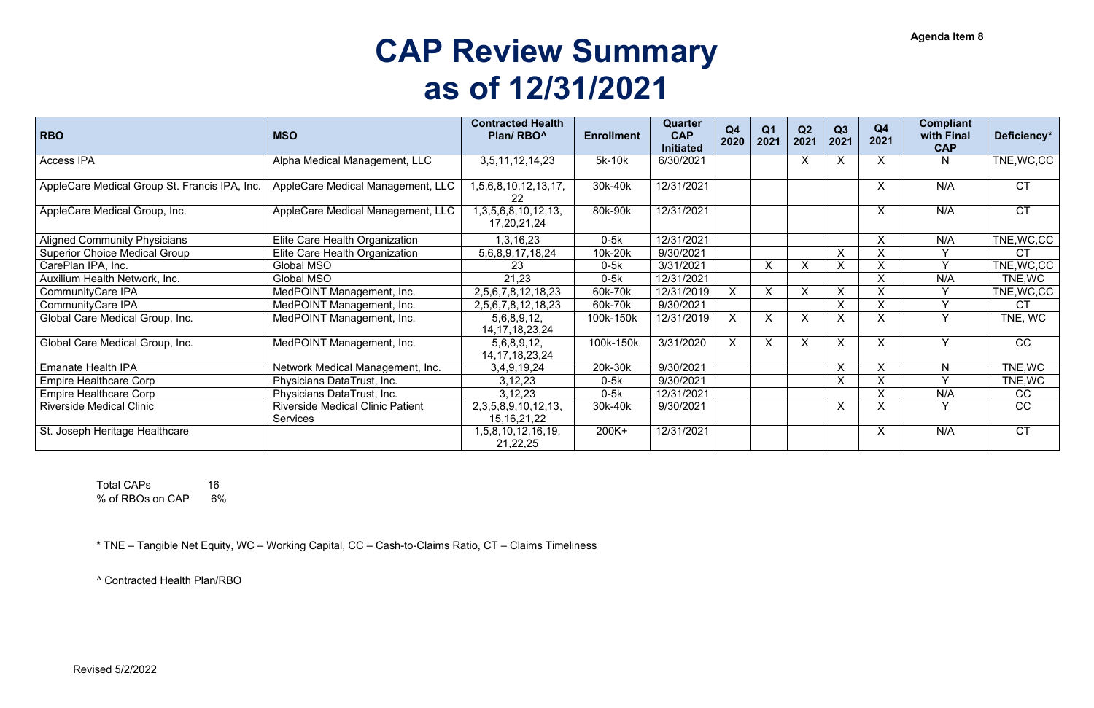## **CAP Review Summary as of 12/31/2021**

Total CAPs 16 % of RBOs on CAP 6%

| <b>RBO</b>                                    | <b>MSO</b>                              | <b>Contracted Health</b><br>Plan/RBO <sup>^</sup> | <b>Enrollment</b> | Quarter<br><b>CAP</b><br><b>Initiated</b> | Q <sub>4</sub><br>2020 | Q <sub>1</sub><br>2021    | Q2<br>2021   | Q3<br>2021 | Q <sub>4</sub><br>2021 | <b>Compliant</b><br>with Final<br><b>CAP</b> | Deficiency* |
|-----------------------------------------------|-----------------------------------------|---------------------------------------------------|-------------------|-------------------------------------------|------------------------|---------------------------|--------------|------------|------------------------|----------------------------------------------|-------------|
| <b>Access IPA</b>                             | Alpha Medical Management, LLC           | 3,5,11,12,14,23                                   | 5k-10k            | 6/30/2021                                 |                        |                           | X            | $\sf X$    | X                      | N                                            | TNE, WC, CC |
| AppleCare Medical Group St. Francis IPA, Inc. | AppleCare Medical Management, LLC       | 1,5,6,8,10,12,13,17,<br>22                        | 30k-40k           | 12/31/2021                                |                        |                           |              |            | X                      | N/A                                          | <b>CT</b>   |
| AppleCare Medical Group, Inc.                 | AppleCare Medical Management, LLC       | 1, 3, 5, 6, 8, 10, 12, 13,<br>17,20,21,24         | 80k-90k           | 12/31/2021                                |                        |                           |              |            | X                      | N/A                                          | <b>CT</b>   |
| <b>Aligned Community Physicians</b>           | Elite Care Health Organization          | 1,3,16,23                                         | $0-5k$            | 12/31/2021                                |                        |                           |              |            | X                      | N/A                                          | TNE, WC, CC |
| <b>Superior Choice Medical Group</b>          | Elite Care Health Organization          | 5,6,8,9,17,18,24                                  | 10k-20k           | 9/30/2021                                 |                        |                           |              | X          | X                      |                                              | <b>CT</b>   |
| CarePlan IPA, Inc.                            | <b>Global MSO</b>                       | 23                                                | $0-5k$            | 3/31/2021                                 |                        | $\boldsymbol{\mathsf{X}}$ | X            | $\sf X$    | X                      | $\vee$                                       | TNE, WC, CC |
| Auxilium Health Network, Inc.                 | <b>Global MSO</b>                       | 21,23                                             | $0-5k$            | 12/31/2021                                |                        |                           |              |            | X                      | N/A                                          | TNE, WC     |
| <b>CommunityCare IPA</b>                      | MedPOINT Management, Inc.               | 2,5,6,7,8,12,18,23                                | 60k-70k           | 12/31/2019                                | $X_{-}$                | X                         | X            | X          | X                      |                                              | TNE, WC, CC |
| <b>CommunityCare IPA</b>                      | MedPOINT Management, Inc.               | 2,5,6,7,8,12,18,23                                | 60k-70k           | 9/30/2021                                 |                        |                           |              | X          | X                      | $\vee$                                       | <b>CT</b>   |
| Global Care Medical Group, Inc.               | MedPOINT Management, Inc.               | 5,6,8,9,12,<br>14, 17, 18, 23, 24                 | 100k-150k         | 12/31/2019                                | $\mathsf{X}$           | X                         | $\mathsf{X}$ | $\sf X$    | X                      | $\vee$                                       | TNE, WC     |
| Global Care Medical Group, Inc.               | MedPOINT Management, Inc.               | 5,6,8,9,12,<br>14, 17, 18, 23, 24                 | 100k-150k         | 3/31/2020                                 | $\mathsf{X}$           | X                         | X            | X          | X                      | Y                                            | <b>CC</b>   |
| <b>Emanate Health IPA</b>                     | Network Medical Management, Inc.        | 3,4,9,19,24                                       | 20k-30k           | 9/30/2021                                 |                        |                           |              | X          | X                      | N                                            | TNE, WC     |
| <b>Empire Healthcare Corp</b>                 | Physicians DataTrust, Inc.              | 3,12,23                                           | $0-5k$            | 9/30/2021                                 |                        |                           |              | X          | X                      |                                              | TNE, WC     |
| <b>Empire Healthcare Corp</b>                 | Physicians DataTrust, Inc.              | 3,12,23                                           | $0-5k$            | 12/31/2021                                |                        |                           |              |            | X                      | N/A                                          | <b>CC</b>   |
| <b>Riverside Medical Clinic</b>               | <b>Riverside Medical Clinic Patient</b> | 2, 3, 5, 8, 9, 10, 12, 13,                        | 30k-40k           | 9/30/2021                                 |                        |                           |              | $\sf X$    | $\mathsf{X}$           | Y                                            | CC          |
|                                               | Services                                | 15, 16, 21, 22                                    |                   |                                           |                        |                           |              |            |                        |                                              |             |
| St. Joseph Heritage Healthcare                |                                         | 1,5,8,10,12,16,19,<br>21,22,25                    | 200K+             | 12/31/2021                                |                        |                           |              |            | X                      | N/A                                          | <b>CT</b>   |

\* TNE – Tangible Net Equity, WC – Working Capital, CC – Cash-to-Claims Ratio, CT – Claims Timeliness

^ Contracted Health Plan/RBO